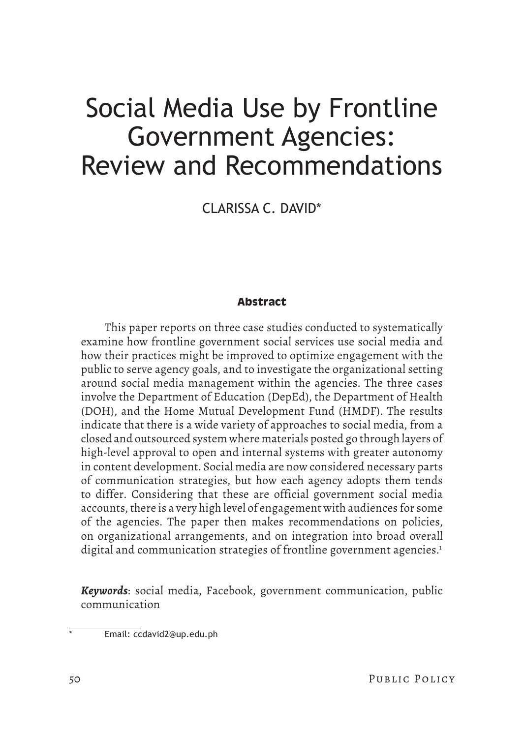# Social Media Use by Frontline Government Agencies: Review and Recommendations

CLARISSA C. DAVID\*

## **Abstract**

This paper reports on three case studies conducted to systematically examine how frontline government social services use social media and how their practices might be improved to optimize engagement with the public to serve agency goals, and to investigate the organizational setting around social media management within the agencies. The three cases involve the Department of Education (DepEd), the Department of Health (DOH), and the Home Mutual Development Fund (HMDF). The results indicate that there is a wide variety of approaches to social media, from a closed and outsourced system where materials posted go through layers of high-level approval to open and internal systems with greater autonomy in content development. Social media are now considered necessary parts of communication strategies, but how each agency adopts them tends to differ. Considering that these are official government social media accounts, there is a very high level of engagement with audiences for some of the agencies. The paper then makes recommendations on policies, on organizational arrangements, and on integration into broad overall digital and communication strategies of frontline government agencies.<sup>1</sup>

*Keywords*: social media, Facebook, government communication, public communication

Email: ccdavid2@up.edu.ph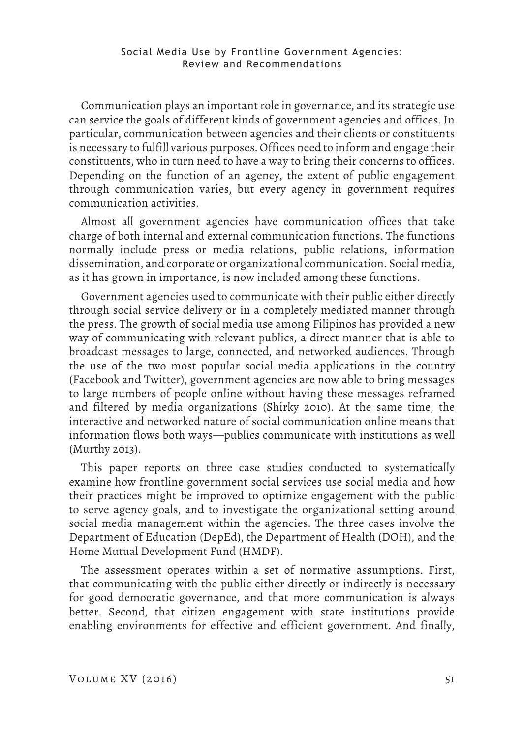Communication plays an important role in governance, and its strategic use can service the goals of different kinds of government agencies and offices. In particular, communication between agencies and their clients or constituents is necessary to fulfill various purposes. Offices need to inform and engage their constituents, who in turn need to have a way to bring their concerns to offices. Depending on the function of an agency, the extent of public engagement through communication varies, but every agency in government requires communication activities.

Almost all government agencies have communication offices that take charge of both internal and external communication functions. The functions normally include press or media relations, public relations, information dissemination, and corporate or organizational communication. Social media, as it has grown in importance, is now included among these functions.

Government agencies used to communicate with their public either directly through social service delivery or in a completely mediated manner through the press. The growth of social media use among Filipinos has provided a new way of communicating with relevant publics, a direct manner that is able to broadcast messages to large, connected, and networked audiences. Through the use of the two most popular social media applications in the country (Facebook and Twitter), government agencies are now able to bring messages to large numbers of people online without having these messages reframed and filtered by media organizations (Shirky 2010). At the same time, the interactive and networked nature of social communication online means that information flows both ways—publics communicate with institutions as well (Murthy 2013).

This paper reports on three case studies conducted to systematically examine how frontline government social services use social media and how their practices might be improved to optimize engagement with the public to serve agency goals, and to investigate the organizational setting around social media management within the agencies. The three cases involve the Department of Education (DepEd), the Department of Health (DOH), and the Home Mutual Development Fund (HMDF).

The assessment operates within a set of normative assumptions. First, that communicating with the public either directly or indirectly is necessary for good democratic governance, and that more communication is always better. Second, that citizen engagement with state institutions provide enabling environments for effective and efficient government. And finally,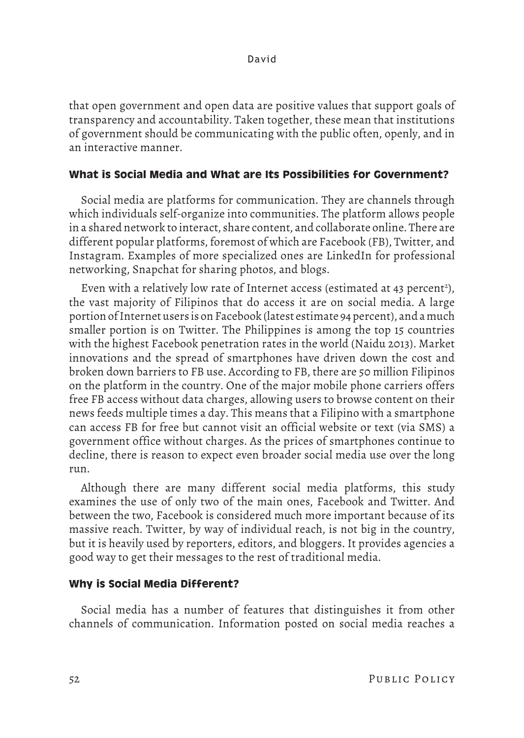that open government and open data are positive values that support goals of transparency and accountability. Taken together, these mean that institutions of government should be communicating with the public often, openly, and in an interactive manner.

## **What is Social Media and What are Its Possibilities for Government?**

Social media are platforms for communication. They are channels through which individuals self-organize into communities. The platform allows people in a shared network to interact, share content, and collaborate online. There are different popular platforms, foremost of which are Facebook (FB), Twitter, and Instagram. Examples of more specialized ones are LinkedIn for professional networking, Snapchat for sharing photos, and blogs.

Even with a relatively low rate of Internet access (estimated at 43 percent<sup>2</sup>), the vast majority of Filipinos that do access it are on social media. A large portion of Internet users is on Facebook (latest estimate 94 percent), and a much smaller portion is on Twitter. The Philippines is among the top 15 countries with the highest Facebook penetration rates in the world (Naidu 2013). Market innovations and the spread of smartphones have driven down the cost and broken down barriers to FB use. According to FB, there are 50 million Filipinos on the platform in the country. One of the major mobile phone carriers offers free FB access without data charges, allowing users to browse content on their news feeds multiple times a day. This means that a Filipino with a smartphone can access FB for free but cannot visit an official website or text (via SMS) a government office without charges. As the prices of smartphones continue to decline, there is reason to expect even broader social media use over the long run.

Although there are many different social media platforms, this study examines the use of only two of the main ones, Facebook and Twitter. And between the two, Facebook is considered much more important because of its massive reach. Twitter, by way of individual reach, is not big in the country, but it is heavily used by reporters, editors, and bloggers. It provides agencies a good way to get their messages to the rest of traditional media.

# **Why is Social Media Different?**

Social media has a number of features that distinguishes it from other channels of communication. Information posted on social media reaches a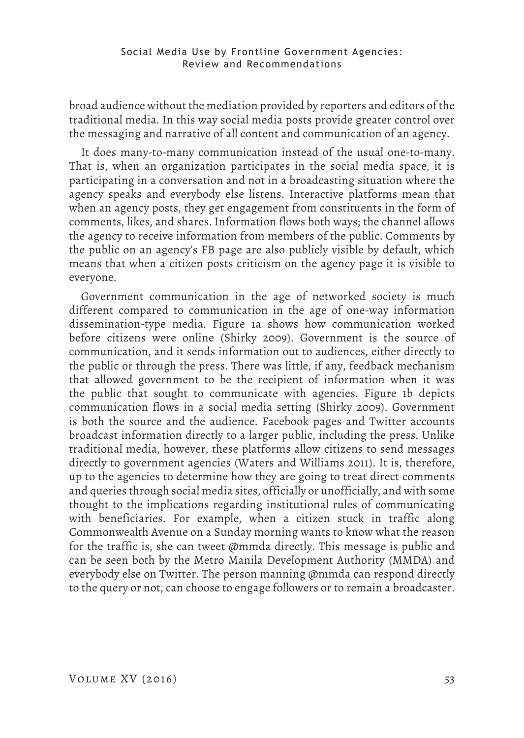broad audience without the mediation provided by reporters and editors of the traditional media. In this way social media posts provide greater control over the messaging and narrative of all content and communication of an agency.

It does many-to-many communication instead of the usual one-to-many. That is, when an organization participates in the social media space, it is participating in a conversation and not in a broadcasting situation where the agency speaks and everybody else listens. Interactive platforms mean that when an agency posts, they get engagement from constituents in the form of comments, likes, and shares. Information flows both ways; the channel allows the agency to receive information from members of the public. Comments by the public on an agency's FB page are also publicly visible by default, which means that when a citizen posts criticism on the agency page it is visible to everyone.

Government communication in the age of networked society is much different compared to communication in the age of one-way information dissemination-type media. Figure 1a shows how communication worked before citizens were online (Shirky 2009). Government is the source of communication, and it sends information out to audiences, either directly to the public or through the press. There was little, if any, feedback mechanism that allowed government to be the recipient of information when it was the public that sought to communicate with agencies. Figure 1b depicts communication flows in a social media setting (Shirky 2009). Government is both the source and the audience. Facebook pages and Twitter accounts broadcast information directly to a larger public, including the press. Unlike traditional media, however, these platforms allow citizens to send messages directly to government agencies (Waters and Williams 2011). It is, therefore, up to the agencies to determine how they are going to treat direct comments and queries through social media sites, officially or unofficially, and with some thought to the implications regarding institutional rules of communicating with beneficiaries. For example, when a citizen stuck in traffic along Commonwealth Avenue on a Sunday morning wants to know what the reason for the traffic is, she can tweet @mmda directly. This message is public and can be seen both by the Metro Manila Development Authority (MMDA) and everybody else on Twitter. The person manning @mmda can respond directly to the query or not, can choose to engage followers or to remain a broadcaster.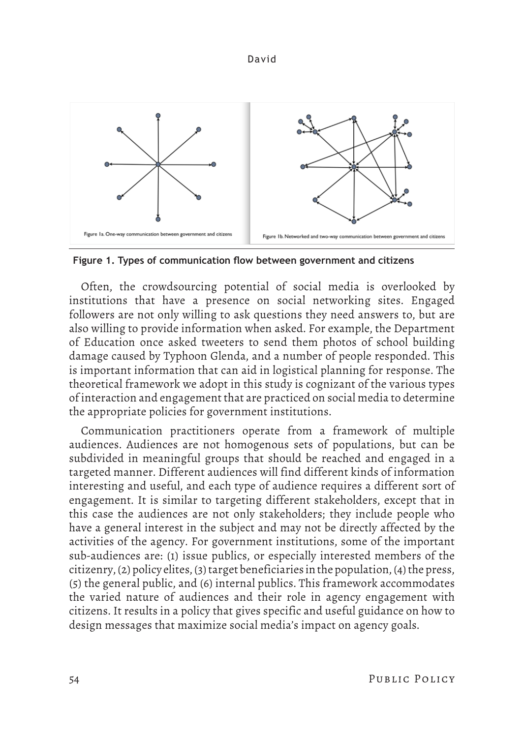

**Figure 1. Types of communication flow between government and citizens**

Often, the crowdsourcing potential of social media is overlooked by institutions that have a presence on social networking sites. Engaged followers are not only willing to ask questions they need answers to, but are also willing to provide information when asked. For example, the Department of Education once asked tweeters to send them photos of school building damage caused by Typhoon Glenda, and a number of people responded. This is important information that can aid in logistical planning for response. The theoretical framework we adopt in this study is cognizant of the various types of interaction and engagement that are practiced on social media to determine the appropriate policies for government institutions.

Communication practitioners operate from a framework of multiple audiences. Audiences are not homogenous sets of populations, but can be subdivided in meaningful groups that should be reached and engaged in a targeted manner. Different audiences will find different kinds of information interesting and useful, and each type of audience requires a different sort of engagement. It is similar to targeting different stakeholders, except that in this case the audiences are not only stakeholders; they include people who have a general interest in the subject and may not be directly affected by the activities of the agency. For government institutions, some of the important sub-audiences are: (1) issue publics, or especially interested members of the citizenry, (2) policy elites, (3) target beneficiaries in the population, (4) the press, (5) the general public, and (6) internal publics. This framework accommodates the varied nature of audiences and their role in agency engagement with citizens. It results in a policy that gives specific and useful guidance on how to design messages that maximize social media's impact on agency goals.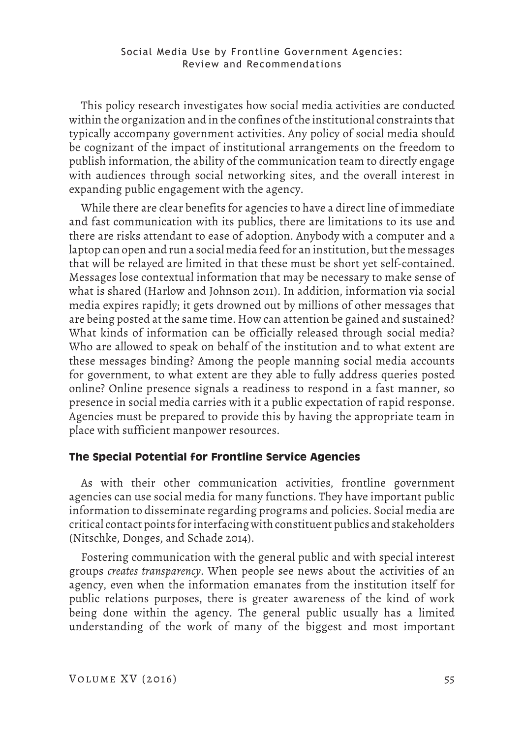This policy research investigates how social media activities are conducted within the organization and in the confines of the institutional constraints that typically accompany government activities. Any policy of social media should be cognizant of the impact of institutional arrangements on the freedom to publish information, the ability of the communication team to directly engage with audiences through social networking sites, and the overall interest in expanding public engagement with the agency.

While there are clear benefits for agencies to have a direct line of immediate and fast communication with its publics, there are limitations to its use and there are risks attendant to ease of adoption. Anybody with a computer and a laptop can open and run a social media feed for an institution, but the messages that will be relayed are limited in that these must be short yet self-contained. Messages lose contextual information that may be necessary to make sense of what is shared (Harlow and Johnson 2011). In addition, information via social media expires rapidly; it gets drowned out by millions of other messages that are being posted at the same time. How can attention be gained and sustained? What kinds of information can be officially released through social media? Who are allowed to speak on behalf of the institution and to what extent are these messages binding? Among the people manning social media accounts for government, to what extent are they able to fully address queries posted online? Online presence signals a readiness to respond in a fast manner, so presence in social media carries with it a public expectation of rapid response. Agencies must be prepared to provide this by having the appropriate team in place with sufficient manpower resources.

# **The Special Potential for Frontline Service Agencies**

As with their other communication activities, frontline government agencies can use social media for many functions. They have important public information to disseminate regarding programs and policies. Social media are critical contact points for interfacing with constituent publics and stakeholders (Nitschke, Donges, and Schade 2014).

Fostering communication with the general public and with special interest groups *creates transparency*. When people see news about the activities of an agency, even when the information emanates from the institution itself for public relations purposes, there is greater awareness of the kind of work being done within the agency. The general public usually has a limited understanding of the work of many of the biggest and most important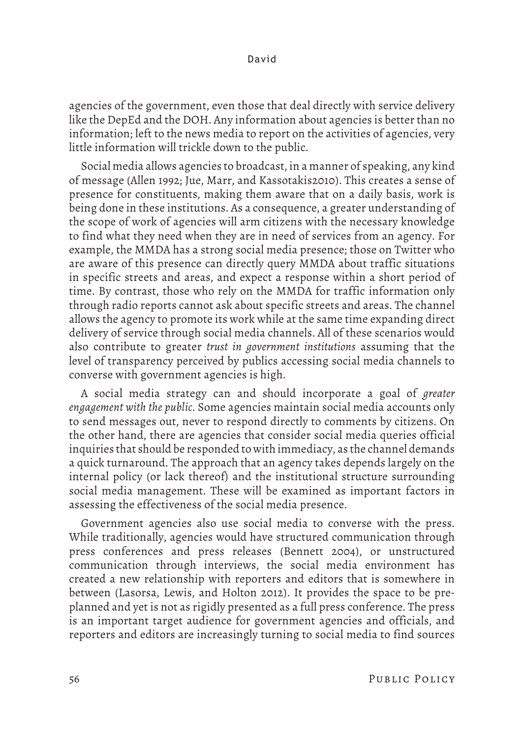agencies of the government, even those that deal directly with service delivery like the DepEd and the DOH. Any information about agencies is better than no information; left to the news media to report on the activities of agencies, very little information will trickle down to the public.

Social media allows agencies to broadcast, in a manner of speaking, any kind of message (Allen 1992; Jue, Marr, and Kassotakis2010). This creates a sense of presence for constituents, making them aware that on a daily basis, work is being done in these institutions. As a consequence, a greater understanding of the scope of work of agencies will arm citizens with the necessary knowledge to find what they need when they are in need of services from an agency. For example, the MMDA has a strong social media presence; those on Twitter who are aware of this presence can directly query MMDA about traffic situations in specific streets and areas, and expect a response within a short period of time. By contrast, those who rely on the MMDA for traffic information only through radio reports cannot ask about specific streets and areas. The channel allows the agency to promote its work while at the same time expanding direct delivery of service through social media channels. All of these scenarios would also contribute to greater *trust in government institutions* assuming that the level of transparency perceived by publics accessing social media channels to converse with government agencies is high.

A social media strategy can and should incorporate a goal of *greater engagement with the public*. Some agencies maintain social media accounts only to send messages out, never to respond directly to comments by citizens. On the other hand, there are agencies that consider social media queries official inquiries that should be responded to with immediacy, as the channel demands a quick turnaround. The approach that an agency takes depends largely on the internal policy (or lack thereof) and the institutional structure surrounding social media management. These will be examined as important factors in assessing the effectiveness of the social media presence.

Government agencies also use social media to converse with the press. While traditionally, agencies would have structured communication through press conferences and press releases (Bennett 2004), or unstructured communication through interviews, the social media environment has created a new relationship with reporters and editors that is somewhere in between (Lasorsa, Lewis, and Holton 2012). It provides the space to be preplanned and yet is not as rigidly presented as a full press conference. The press is an important target audience for government agencies and officials, and reporters and editors are increasingly turning to social media to find sources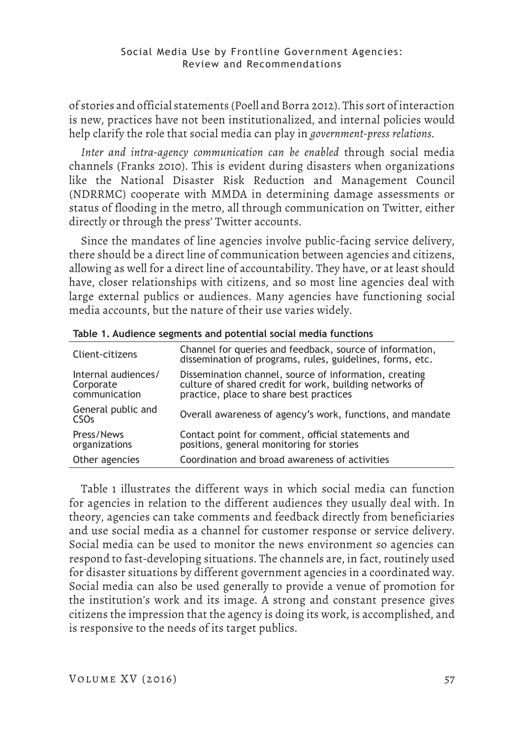of stories and official statements (Poell and Borra 2012). This sort of interaction is new, practices have not been institutionalized, and internal policies would help clarify the role that social media can play in *government-press relations*.

*Inter and intra-agency communication can be enabled* through social media channels (Franks 2010). This is evident during disasters when organizations like the National Disaster Risk Reduction and Management Council (NDRRMC) cooperate with MMDA in determining damage assessments or status of flooding in the metro, all through communication on Twitter, either directly or through the press' Twitter accounts.

Since the mandates of line agencies involve public-facing service delivery, there should be a direct line of communication between agencies and citizens, allowing as well for a direct line of accountability. They have, or at least should have, closer relationships with citizens, and so most line agencies deal with large external publics or audiences. Many agencies have functioning social media accounts, but the nature of their use varies widely.

| Client-citizens                                   | Channel for queries and feedback, source of information,<br>dissemination of programs, rules, guidelines, forms, etc.                                        |
|---------------------------------------------------|--------------------------------------------------------------------------------------------------------------------------------------------------------------|
| Internal audiences/<br>Corporate<br>communication | Dissemination channel, source of information, creating<br>culture of shared credit for work, building networks of<br>practice, place to share best practices |
| General public and<br><b>CSO<sub>s</sub></b>      | Overall awareness of agency's work, functions, and mandate                                                                                                   |
| Press/News<br>organizations                       | Contact point for comment, official statements and<br>positions, general monitoring for stories                                                              |
| Other agencies                                    | Coordination and broad awareness of activities                                                                                                               |

|  | Table 1. Audience segments and potential social media functions |  |  |  |  |  |  |
|--|-----------------------------------------------------------------|--|--|--|--|--|--|
|--|-----------------------------------------------------------------|--|--|--|--|--|--|

Table 1 illustrates the different ways in which social media can function for agencies in relation to the different audiences they usually deal with. In theory, agencies can take comments and feedback directly from beneficiaries and use social media as a channel for customer response or service delivery. Social media can be used to monitor the news environment so agencies can respond to fast-developing situations. The channels are, in fact, routinely used for disaster situations by different government agencies in a coordinated way. Social media can also be used generally to provide a venue of promotion for the institution's work and its image. A strong and constant presence gives citizens the impression that the agency is doing its work, is accomplished, and is responsive to the needs of its target publics.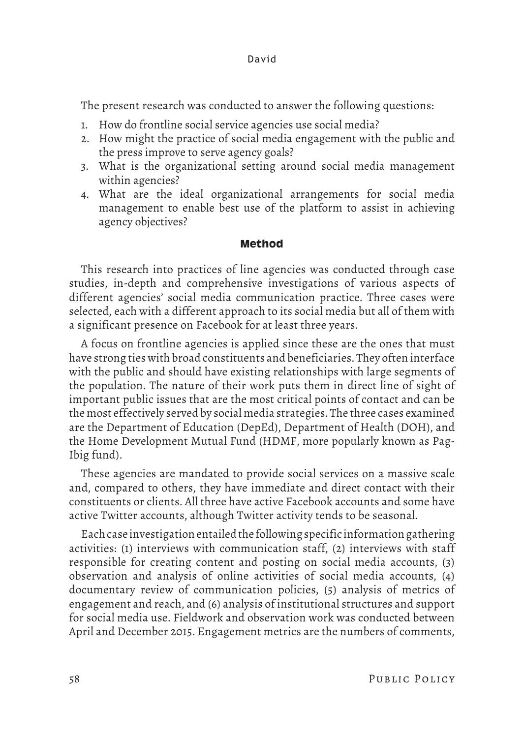The present research was conducted to answer the following questions:

- 1. How do frontline social service agencies use social media?
- 2. How might the practice of social media engagement with the public and the press improve to serve agency goals?
- 3. What is the organizational setting around social media management within agencies?
- 4. What are the ideal organizational arrangements for social media management to enable best use of the platform to assist in achieving agency objectives?

# **Method**

This research into practices of line agencies was conducted through case studies, in-depth and comprehensive investigations of various aspects of different agencies' social media communication practice. Three cases were selected, each with a different approach to its social media but all of them with a significant presence on Facebook for at least three years.

A focus on frontline agencies is applied since these are the ones that must have strong ties with broad constituents and beneficiaries. They often interface with the public and should have existing relationships with large segments of the population. The nature of their work puts them in direct line of sight of important public issues that are the most critical points of contact and can be the most effectively served by social media strategies. The three cases examined are the Department of Education (DepEd), Department of Health (DOH), and the Home Development Mutual Fund (HDMF, more popularly known as Pag-Ibig fund).

These agencies are mandated to provide social services on a massive scale and, compared to others, they have immediate and direct contact with their constituents or clients. All three have active Facebook accounts and some have active Twitter accounts, although Twitter activity tends to be seasonal.

Each case investigation entailed the following specific information gathering activities: (1) interviews with communication staff, (2) interviews with staff responsible for creating content and posting on social media accounts, (3) observation and analysis of online activities of social media accounts, (4) documentary review of communication policies, (5) analysis of metrics of engagement and reach, and (6) analysis of institutional structures and support for social media use. Fieldwork and observation work was conducted between April and December 2015. Engagement metrics are the numbers of comments,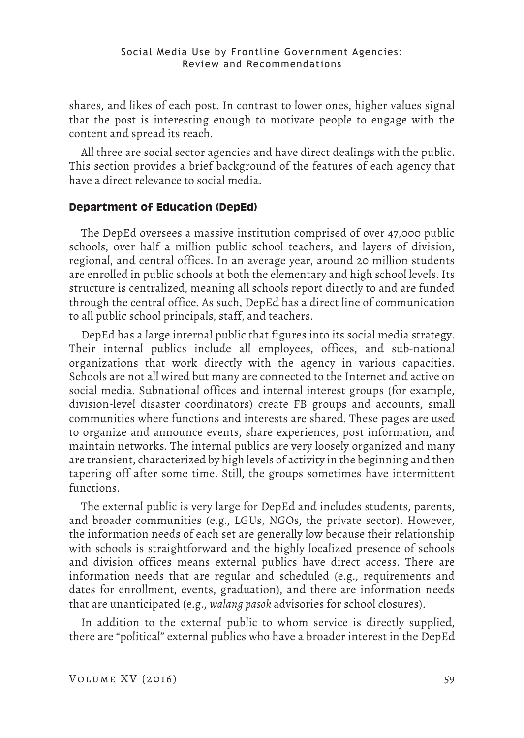shares, and likes of each post. In contrast to lower ones, higher values signal that the post is interesting enough to motivate people to engage with the content and spread its reach.

All three are social sector agencies and have direct dealings with the public. This section provides a brief background of the features of each agency that have a direct relevance to social media.

## **Department of Education (DepEd)**

The DepEd oversees a massive institution comprised of over 47,000 public schools, over half a million public school teachers, and layers of division, regional, and central offices. In an average year, around 20 million students are enrolled in public schools at both the elementary and high school levels. Its structure is centralized, meaning all schools report directly to and are funded through the central office. As such, DepEd has a direct line of communication to all public school principals, staff, and teachers.

DepEd has a large internal public that figures into its social media strategy. Their internal publics include all employees, offices, and sub-national organizations that work directly with the agency in various capacities. Schools are not all wired but many are connected to the Internet and active on social media. Subnational offices and internal interest groups (for example, division-level disaster coordinators) create FB groups and accounts, small communities where functions and interests are shared. These pages are used to organize and announce events, share experiences, post information, and maintain networks. The internal publics are very loosely organized and many are transient, characterized by high levels of activity in the beginning and then tapering off after some time. Still, the groups sometimes have intermittent functions.

The external public is very large for DepEd and includes students, parents, and broader communities (e.g., LGUs, NGOs, the private sector). However, the information needs of each set are generally low because their relationship with schools is straightforward and the highly localized presence of schools and division offices means external publics have direct access. There are information needs that are regular and scheduled (e.g., requirements and dates for enrollment, events, graduation), and there are information needs that are unanticipated (e.g., *walang pasok* advisories for school closures).

In addition to the external public to whom service is directly supplied, there are "political" external publics who have a broader interest in the DepEd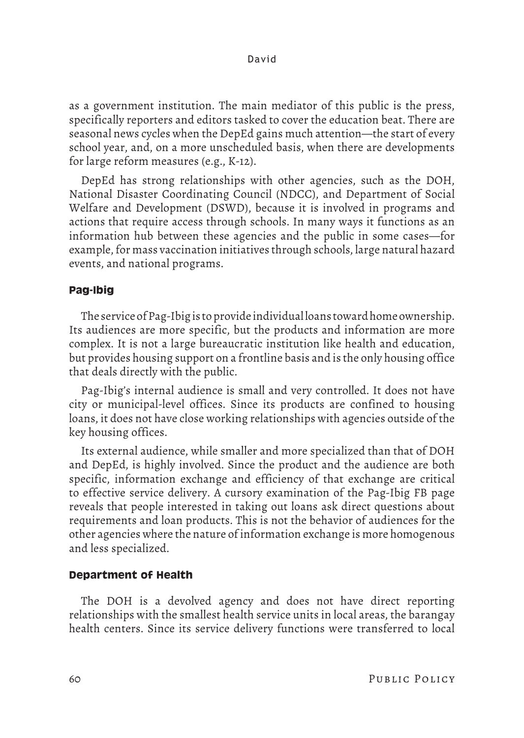as a government institution. The main mediator of this public is the press, specifically reporters and editors tasked to cover the education beat. There are seasonal news cycles when the DepEd gains much attention—the start of every school year, and, on a more unscheduled basis, when there are developments for large reform measures (e.g., K-12).

DepEd has strong relationships with other agencies, such as the DOH, National Disaster Coordinating Council (NDCC), and Department of Social Welfare and Development (DSWD), because it is involved in programs and actions that require access through schools. In many ways it functions as an information hub between these agencies and the public in some cases—for example, for mass vaccination initiatives through schools, large natural hazard events, and national programs.

# **Pag-Ibig**

The service of Pag-Ibig is to provide individual loans toward home ownership. Its audiences are more specific, but the products and information are more complex. It is not a large bureaucratic institution like health and education, but provides housing support on a frontline basis and is the only housing office that deals directly with the public.

Pag-Ibig's internal audience is small and very controlled. It does not have city or municipal-level offices. Since its products are confined to housing loans, it does not have close working relationships with agencies outside of the key housing offices.

Its external audience, while smaller and more specialized than that of DOH and DepEd, is highly involved. Since the product and the audience are both specific, information exchange and efficiency of that exchange are critical to effective service delivery. A cursory examination of the Pag-Ibig FB page reveals that people interested in taking out loans ask direct questions about requirements and loan products. This is not the behavior of audiences for the other agencies where the nature of information exchange is more homogenous and less specialized.

# **Department of Health**

The DOH is a devolved agency and does not have direct reporting relationships with the smallest health service units in local areas, the barangay health centers. Since its service delivery functions were transferred to local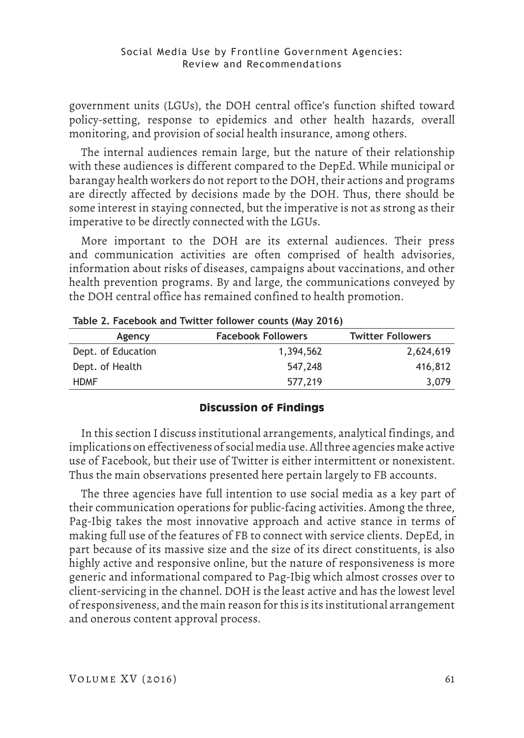government units (LGUs), the DOH central office's function shifted toward policy-setting, response to epidemics and other health hazards, overall monitoring, and provision of social health insurance, among others.

The internal audiences remain large, but the nature of their relationship with these audiences is different compared to the DepEd. While municipal or barangay health workers do not report to the DOH, their actions and programs are directly affected by decisions made by the DOH. Thus, there should be some interest in staying connected, but the imperative is not as strong as their imperative to be directly connected with the LGUs.

More important to the DOH are its external audiences. Their press and communication activities are often comprised of health advisories, information about risks of diseases, campaigns about vaccinations, and other health prevention programs. By and large, the communications conveyed by the DOH central office has remained confined to health promotion.

| Agency             | <b>Facebook Followers</b> | <b>Twitter Followers</b> |  |  |  |
|--------------------|---------------------------|--------------------------|--|--|--|
| Dept. of Education | 1,394,562                 | 2,624,619                |  |  |  |
| Dept. of Health    | 547,248                   | 416,812                  |  |  |  |
| <b>HDMF</b>        | 577,219                   | 3.079                    |  |  |  |

**Table 2. Facebook and Twitter follower counts (May 2016)**

# **Discussion of Findings**

In this section I discuss institutional arrangements, analytical findings, and implications on effectiveness of social media use. All three agencies make active use of Facebook, but their use of Twitter is either intermittent or nonexistent. Thus the main observations presented here pertain largely to FB accounts.

The three agencies have full intention to use social media as a key part of their communication operations for public-facing activities. Among the three, Pag-Ibig takes the most innovative approach and active stance in terms of making full use of the features of FB to connect with service clients. DepEd, in part because of its massive size and the size of its direct constituents, is also highly active and responsive online, but the nature of responsiveness is more generic and informational compared to Pag-Ibig which almost crosses over to client-servicing in the channel. DOH is the least active and has the lowest level of responsiveness, and the main reason for this is its institutional arrangement and onerous content approval process.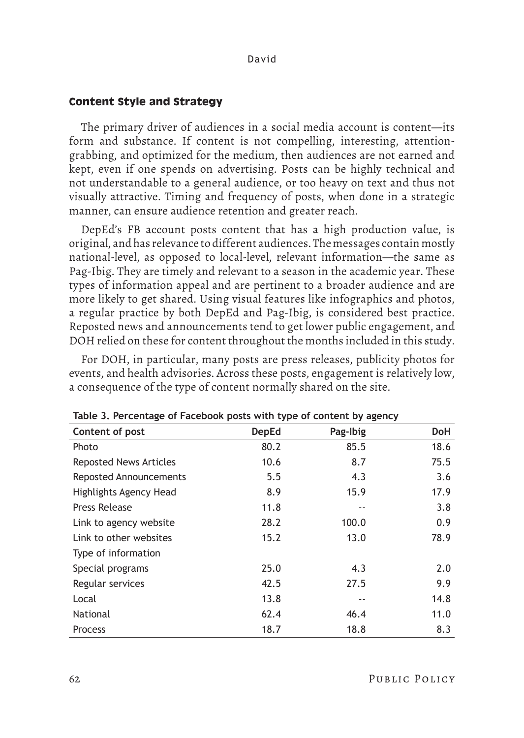## **Content Style and Strategy**

The primary driver of audiences in a social media account is content—its form and substance. If content is not compelling, interesting, attentiongrabbing, and optimized for the medium, then audiences are not earned and kept, even if one spends on advertising. Posts can be highly technical and not understandable to a general audience, or too heavy on text and thus not visually attractive. Timing and frequency of posts, when done in a strategic manner, can ensure audience retention and greater reach.

DepEd's FB account posts content that has a high production value, is original, and has relevance to different audiences. The messages contain mostly national-level, as opposed to local-level, relevant information—the same as Pag-Ibig. They are timely and relevant to a season in the academic year. These types of information appeal and are pertinent to a broader audience and are more likely to get shared. Using visual features like infographics and photos, a regular practice by both DepEd and Pag-Ibig, is considered best practice. Reposted news and announcements tend to get lower public engagement, and DOH relied on these for content throughout the months included in this study.

For DOH, in particular, many posts are press releases, publicity photos for events, and health advisories. Across these posts, engagement is relatively low, a consequence of the type of content normally shared on the site.

| Content of post               | <b>DepEd</b> | Pag-Ibig | DoH  |
|-------------------------------|--------------|----------|------|
| Photo                         | 80.2         | 85.5     | 18.6 |
| <b>Reposted News Articles</b> | 10.6         | 8.7      | 75.5 |
| <b>Reposted Announcements</b> | 5.5          | 4.3      | 3.6  |
| Highlights Agency Head        | 8.9          | 15.9     | 17.9 |
| Press Release                 | 11.8         | --       | 3.8  |
| Link to agency website        | 28.2         | 100.0    | 0.9  |
| Link to other websites        | 15.2         | 13.0     | 78.9 |
| Type of information           |              |          |      |
| Special programs              | 25.0         | 4.3      | 2.0  |
| Regular services              | 42.5         | 27.5     | 9.9  |
| Local                         | 13.8         | --       | 14.8 |
| National                      | 62.4         | 46.4     | 11.0 |
| <b>Process</b>                | 18.7         | 18.8     | 8.3  |

**Table 3. Percentage of Facebook posts with type of content by agency**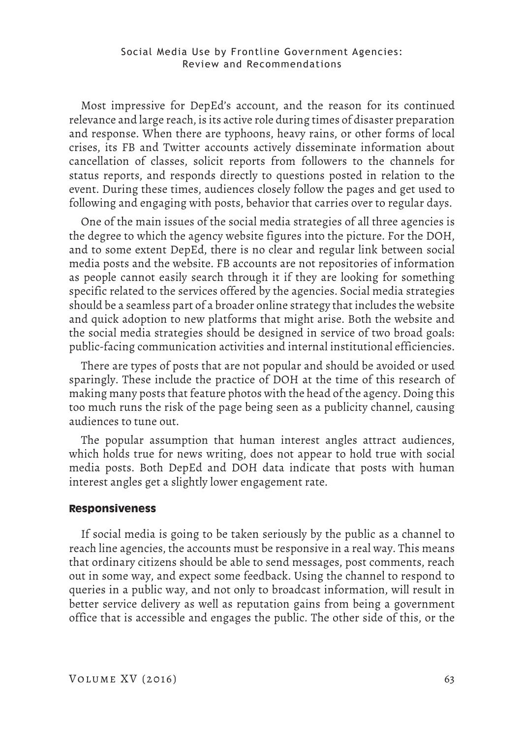#### Social Media Use by Frontline Government Agencies: Review and Recommendations

Most impressive for DepEd's account, and the reason for its continued relevance and large reach, is its active role during times of disaster preparation and response. When there are typhoons, heavy rains, or other forms of local crises, its FB and Twitter accounts actively disseminate information about cancellation of classes, solicit reports from followers to the channels for status reports, and responds directly to questions posted in relation to the event. During these times, audiences closely follow the pages and get used to following and engaging with posts, behavior that carries over to regular days.

One of the main issues of the social media strategies of all three agencies is the degree to which the agency website figures into the picture. For the DOH, and to some extent DepEd, there is no clear and regular link between social media posts and the website. FB accounts are not repositories of information as people cannot easily search through it if they are looking for something specific related to the services offered by the agencies. Social media strategies should be a seamless part of a broader online strategy that includes the website and quick adoption to new platforms that might arise. Both the website and the social media strategies should be designed in service of two broad goals: public-facing communication activities and internal institutional efficiencies.

There are types of posts that are not popular and should be avoided or used sparingly. These include the practice of DOH at the time of this research of making many posts that feature photos with the head of the agency. Doing this too much runs the risk of the page being seen as a publicity channel, causing audiences to tune out.

The popular assumption that human interest angles attract audiences, which holds true for news writing, does not appear to hold true with social media posts. Both DepEd and DOH data indicate that posts with human interest angles get a slightly lower engagement rate.

## **Responsiveness**

If social media is going to be taken seriously by the public as a channel to reach line agencies, the accounts must be responsive in a real way. This means that ordinary citizens should be able to send messages, post comments, reach out in some way, and expect some feedback. Using the channel to respond to queries in a public way, and not only to broadcast information, will result in better service delivery as well as reputation gains from being a government office that is accessible and engages the public. The other side of this, or the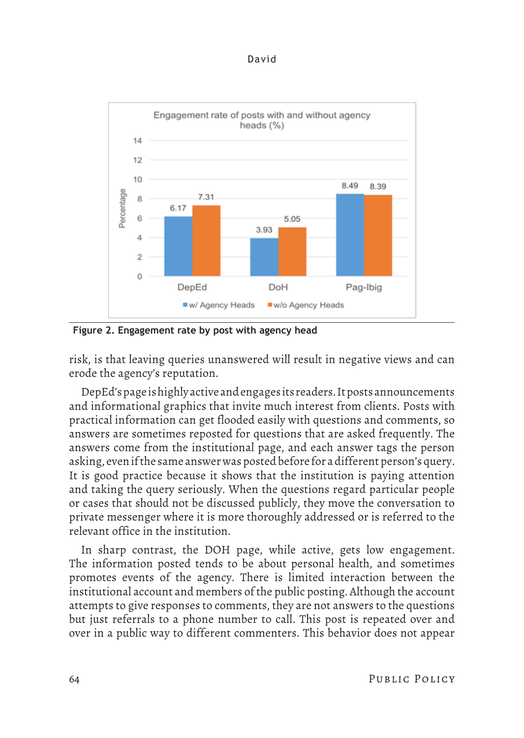



**Figure 2. Engagement rate by post with agency head**

risk, is that leaving queries unanswered will result in negative views and can erode the agency's reputation.

DepEd's page is highly active and engages its readers. It posts announcements and informational graphics that invite much interest from clients. Posts with practical information can get flooded easily with questions and comments, so answers are sometimes reposted for questions that are asked frequently. The answers come from the institutional page, and each answer tags the person asking, even if the same answer was posted before for a different person's query. It is good practice because it shows that the institution is paying attention and taking the query seriously. When the questions regard particular people or cases that should not be discussed publicly, they move the conversation to private messenger where it is more thoroughly addressed or is referred to the relevant office in the institution.

In sharp contrast, the DOH page, while active, gets low engagement. The information posted tends to be about personal health, and sometimes promotes events of the agency. There is limited interaction between the institutional account and members of the public posting. Although the account attempts to give responses to comments, they are not answers to the questions but just referrals to a phone number to call. This post is repeated over and over in a public way to different commenters. This behavior does not appear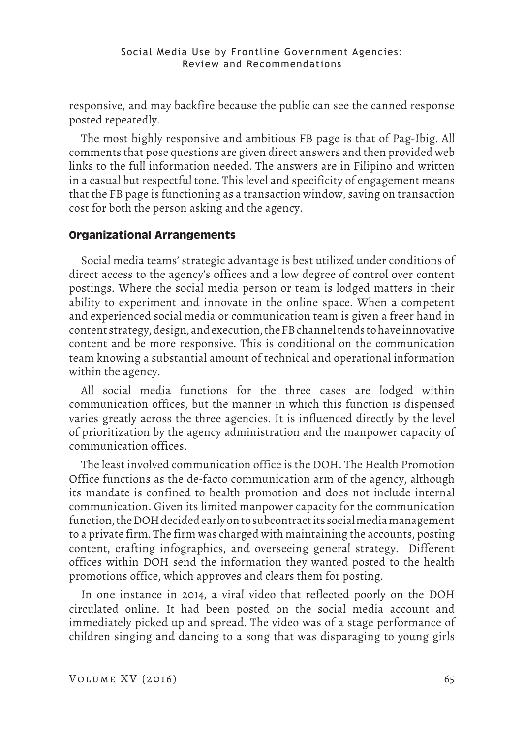responsive, and may backfire because the public can see the canned response posted repeatedly.

The most highly responsive and ambitious FB page is that of Pag-Ibig. All comments that pose questions are given direct answers and then provided web links to the full information needed. The answers are in Filipino and written in a casual but respectful tone. This level and specificity of engagement means that the FB page is functioning as a transaction window, saving on transaction cost for both the person asking and the agency.

# **Organizational Arrangements**

Social media teams' strategic advantage is best utilized under conditions of direct access to the agency's offices and a low degree of control over content postings. Where the social media person or team is lodged matters in their ability to experiment and innovate in the online space. When a competent and experienced social media or communication team is given a freer hand in content strategy, design, and execution, the FB channel tends to have innovative content and be more responsive. This is conditional on the communication team knowing a substantial amount of technical and operational information within the agency.

All social media functions for the three cases are lodged within communication offices, but the manner in which this function is dispensed varies greatly across the three agencies. It is influenced directly by the level of prioritization by the agency administration and the manpower capacity of communication offices.

The least involved communication office is the DOH. The Health Promotion Office functions as the de-facto communication arm of the agency, although its mandate is confined to health promotion and does not include internal communication. Given its limited manpower capacity for the communication function, the DOH decided early on to subcontract its social media management to a private firm. The firm was charged with maintaining the accounts, posting content, crafting infographics, and overseeing general strategy. Different offices within DOH send the information they wanted posted to the health promotions office, which approves and clears them for posting.

In one instance in 2014, a viral video that reflected poorly on the DOH circulated online. It had been posted on the social media account and immediately picked up and spread. The video was of a stage performance of children singing and dancing to a song that was disparaging to young girls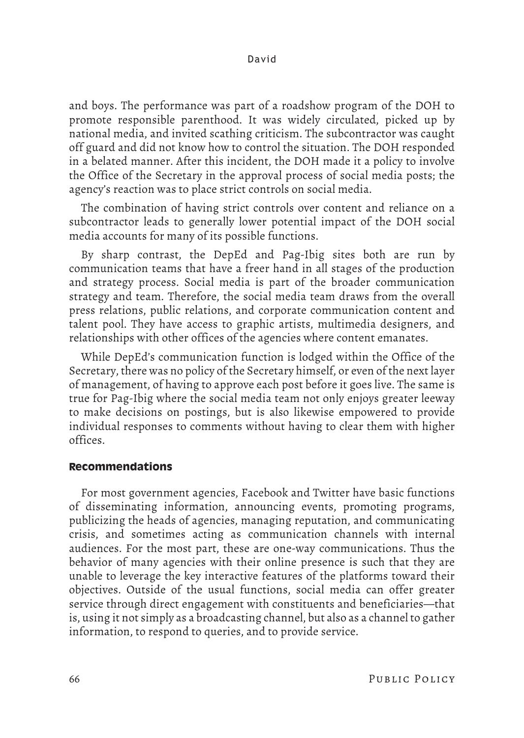and boys. The performance was part of a roadshow program of the DOH to promote responsible parenthood. It was widely circulated, picked up by national media, and invited scathing criticism. The subcontractor was caught off guard and did not know how to control the situation. The DOH responded in a belated manner. After this incident, the DOH made it a policy to involve the Office of the Secretary in the approval process of social media posts; the agency's reaction was to place strict controls on social media.

The combination of having strict controls over content and reliance on a subcontractor leads to generally lower potential impact of the DOH social media accounts for many of its possible functions.

By sharp contrast, the DepEd and Pag-Ibig sites both are run by communication teams that have a freer hand in all stages of the production and strategy process. Social media is part of the broader communication strategy and team. Therefore, the social media team draws from the overall press relations, public relations, and corporate communication content and talent pool. They have access to graphic artists, multimedia designers, and relationships with other offices of the agencies where content emanates.

While DepEd's communication function is lodged within the Office of the Secretary, there was no policy of the Secretary himself, or even of the next layer of management, of having to approve each post before it goes live. The same is true for Pag-Ibig where the social media team not only enjoys greater leeway to make decisions on postings, but is also likewise empowered to provide individual responses to comments without having to clear them with higher offices.

# **Recommendations**

For most government agencies, Facebook and Twitter have basic functions of disseminating information, announcing events, promoting programs, publicizing the heads of agencies, managing reputation, and communicating crisis, and sometimes acting as communication channels with internal audiences. For the most part, these are one-way communications. Thus the behavior of many agencies with their online presence is such that they are unable to leverage the key interactive features of the platforms toward their objectives. Outside of the usual functions, social media can offer greater service through direct engagement with constituents and beneficiaries—that is, using it not simply as a broadcasting channel, but also as a channel to gather information, to respond to queries, and to provide service.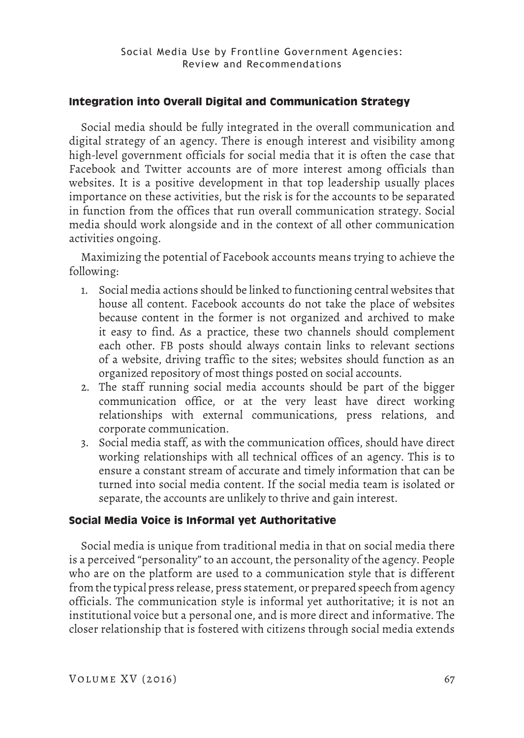# **Integration into Overall Digital and Communication Strategy**

Social media should be fully integrated in the overall communication and digital strategy of an agency. There is enough interest and visibility among high-level government officials for social media that it is often the case that Facebook and Twitter accounts are of more interest among officials than websites. It is a positive development in that top leadership usually places importance on these activities, but the risk is for the accounts to be separated in function from the offices that run overall communication strategy. Social media should work alongside and in the context of all other communication activities ongoing.

Maximizing the potential of Facebook accounts means trying to achieve the following:

- 1. Social media actions should be linked to functioning central websites that house all content. Facebook accounts do not take the place of websites because content in the former is not organized and archived to make it easy to find. As a practice, these two channels should complement each other. FB posts should always contain links to relevant sections of a website, driving traffic to the sites; websites should function as an organized repository of most things posted on social accounts.
- 2. The staff running social media accounts should be part of the bigger communication office, or at the very least have direct working relationships with external communications, press relations, and corporate communication.
- 3. Social media staff, as with the communication offices, should have direct working relationships with all technical offices of an agency. This is to ensure a constant stream of accurate and timely information that can be turned into social media content. If the social media team is isolated or separate, the accounts are unlikely to thrive and gain interest.

# **Social Media Voice is Informal yet Authoritative**

Social media is unique from traditional media in that on social media there is a perceived "personality" to an account, the personality of the agency. People who are on the platform are used to a communication style that is different from the typical press release, press statement, or prepared speech from agency officials. The communication style is informal yet authoritative; it is not an institutional voice but a personal one, and is more direct and informative. The closer relationship that is fostered with citizens through social media extends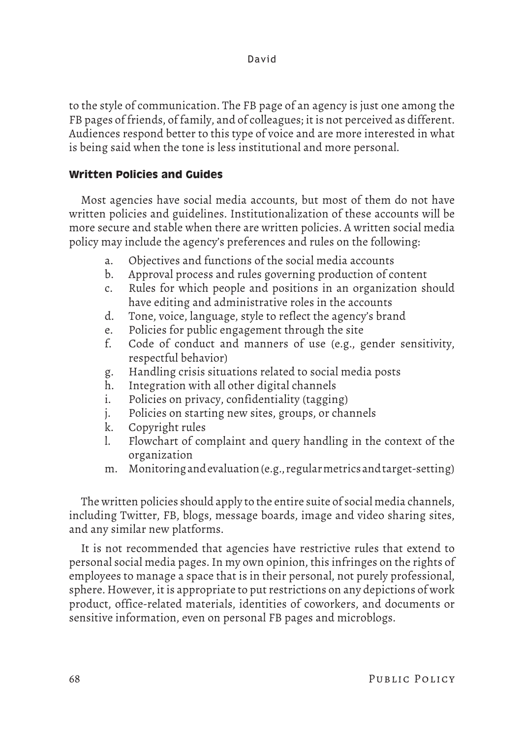to the style of communication. The FB page of an agency is just one among the FB pages of friends, of family, and of colleagues; it is not perceived as different. Audiences respond better to this type of voice and are more interested in what is being said when the tone is less institutional and more personal.

# **Written Policies and Guides**

Most agencies have social media accounts, but most of them do not have written policies and guidelines. Institutionalization of these accounts will be more secure and stable when there are written policies. A written social media policy may include the agency's preferences and rules on the following:

- a. Objectives and functions of the social media accounts
- b. Approval process and rules governing production of content
- c. Rules for which people and positions in an organization should have editing and administrative roles in the accounts
- d. Tone, voice, language, style to reflect the agency's brand
- e. Policies for public engagement through the site
- f. Code of conduct and manners of use (e.g., gender sensitivity, respectful behavior)
- g. Handling crisis situations related to social media posts
- h. Integration with all other digital channels
- i. Policies on privacy, confidentiality (tagging)
- j. Policies on starting new sites, groups, or channels
- k. Copyright rules
- l. Flowchart of complaint and query handling in the context of the organization
- m. Monitoring and evaluation (e.g., regular metrics and target-setting)

The written policies should apply to the entire suite of social media channels, including Twitter, FB, blogs, message boards, image and video sharing sites, and any similar new platforms.

It is not recommended that agencies have restrictive rules that extend to personal social media pages. In my own opinion, this infringes on the rights of employees to manage a space that is in their personal, not purely professional, sphere. However, it is appropriate to put restrictions on any depictions of work product, office-related materials, identities of coworkers, and documents or sensitive information, even on personal FB pages and microblogs.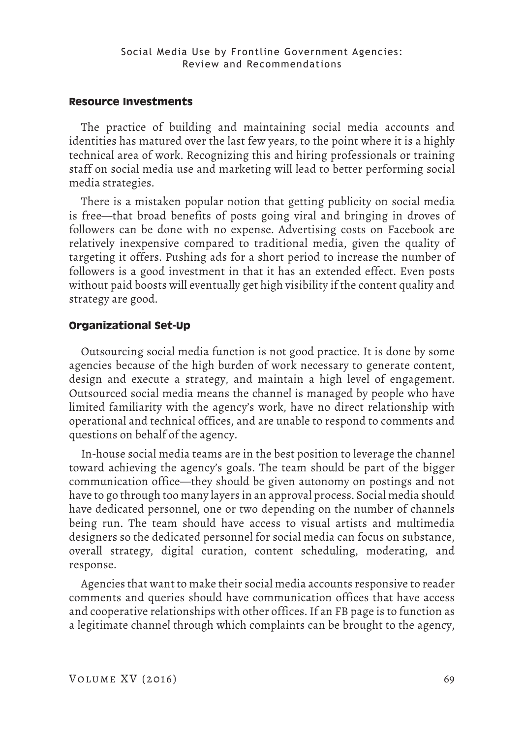## **Resource Investments**

The practice of building and maintaining social media accounts and identities has matured over the last few years, to the point where it is a highly technical area of work. Recognizing this and hiring professionals or training staff on social media use and marketing will lead to better performing social media strategies.

There is a mistaken popular notion that getting publicity on social media is free—that broad benefits of posts going viral and bringing in droves of followers can be done with no expense. Advertising costs on Facebook are relatively inexpensive compared to traditional media, given the quality of targeting it offers. Pushing ads for a short period to increase the number of followers is a good investment in that it has an extended effect. Even posts without paid boosts will eventually get high visibility if the content quality and strategy are good.

# **Organizational Set-Up**

Outsourcing social media function is not good practice. It is done by some agencies because of the high burden of work necessary to generate content, design and execute a strategy, and maintain a high level of engagement. Outsourced social media means the channel is managed by people who have limited familiarity with the agency's work, have no direct relationship with operational and technical offices, and are unable to respond to comments and questions on behalf of the agency.

In-house social media teams are in the best position to leverage the channel toward achieving the agency's goals. The team should be part of the bigger communication office—they should be given autonomy on postings and not have to go through too many layers in an approval process. Social media should have dedicated personnel, one or two depending on the number of channels being run. The team should have access to visual artists and multimedia designers so the dedicated personnel for social media can focus on substance, overall strategy, digital curation, content scheduling, moderating, and response.

Agencies that want to make their social media accounts responsive to reader comments and queries should have communication offices that have access and cooperative relationships with other offices. If an FB page is to function as a legitimate channel through which complaints can be brought to the agency,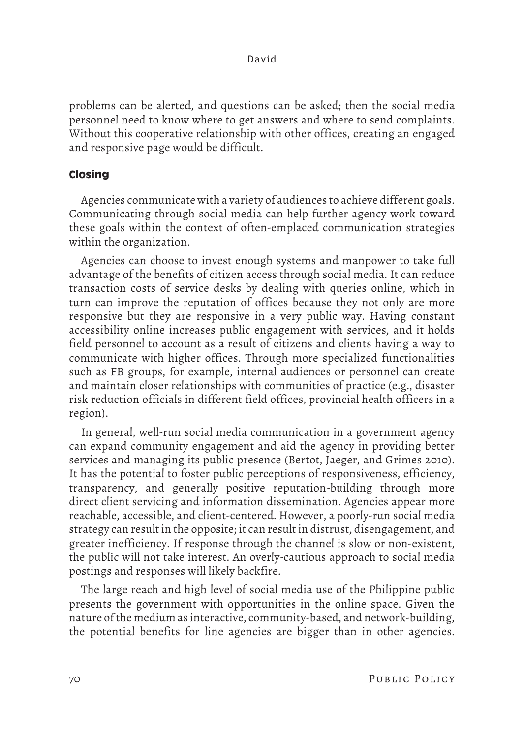problems can be alerted, and questions can be asked; then the social media personnel need to know where to get answers and where to send complaints. Without this cooperative relationship with other offices, creating an engaged and responsive page would be difficult.

## **Closing**

Agencies communicate with a variety of audiences to achieve different goals. Communicating through social media can help further agency work toward these goals within the context of often-emplaced communication strategies within the organization.

Agencies can choose to invest enough systems and manpower to take full advantage of the benefits of citizen access through social media. It can reduce transaction costs of service desks by dealing with queries online, which in turn can improve the reputation of offices because they not only are more responsive but they are responsive in a very public way. Having constant accessibility online increases public engagement with services, and it holds field personnel to account as a result of citizens and clients having a way to communicate with higher offices. Through more specialized functionalities such as FB groups, for example, internal audiences or personnel can create and maintain closer relationships with communities of practice (e.g., disaster risk reduction officials in different field offices, provincial health officers in a region).

In general, well-run social media communication in a government agency can expand community engagement and aid the agency in providing better services and managing its public presence (Bertot, Jaeger, and Grimes 2010). It has the potential to foster public perceptions of responsiveness, efficiency, transparency, and generally positive reputation-building through more direct client servicing and information dissemination. Agencies appear more reachable, accessible, and client-centered. However, a poorly-run social media strategy can result in the opposite; it can result in distrust, disengagement, and greater inefficiency. If response through the channel is slow or non-existent, the public will not take interest. An overly-cautious approach to social media postings and responses will likely backfire.

The large reach and high level of social media use of the Philippine public presents the government with opportunities in the online space. Given the nature of the medium as interactive, community-based, and network-building, the potential benefits for line agencies are bigger than in other agencies.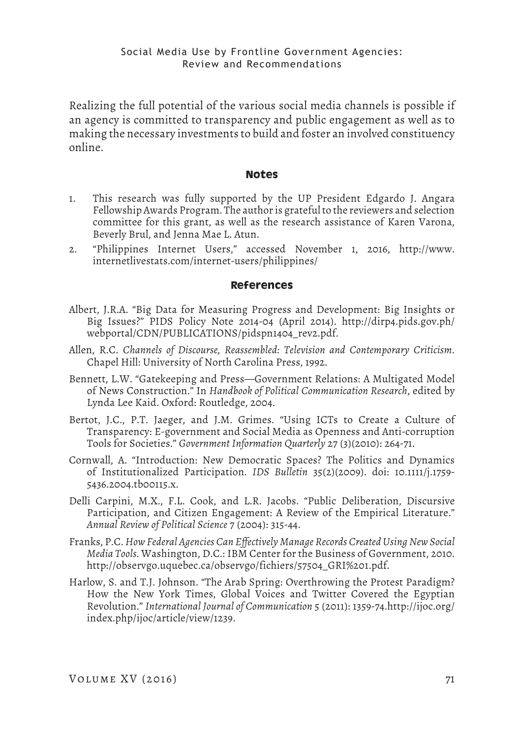Realizing the full potential of the various social media channels is possible if an agency is committed to transparency and public engagement as well as to making the necessary investments to build and foster an involved constituency online.

## **Notes**

- 1. This research was fully supported by the UP President Edgardo J. Angara Fellowship Awards Program. The author is grateful to the reviewers and selection committee for this grant, as well as the research assistance of Karen Varona, Beverly Brul, and Jenna Mae L. Atun.
- 2. "Philippines Internet Users," accessed November 1, 2016, http://www. internetlivestats.com/internet-users/philippines/

## **References**

- Albert, J.R.A. "Big Data for Measuring Progress and Development: Big Insights or Big Issues?" PIDS Policy Note 2014-04 (April 2014). http://dirp4.pids.gov.ph/ webportal/CDN/PUBLICATIONS/pidspn1404\_rev2.pdf.
- Allen, R.C. *Channels of Discourse, Reassembled: Television and Contemporary Criticism*. Chapel Hill: University of North Carolina Press, 1992.
- Bennett, L.W. "Gatekeeping and Press—Government Relations: A Multigated Model of News Construction." In *Handbook of Political Communication Research*, edited by Lynda Lee Kaid. Oxford: Routledge, 2004.
- Bertot, J.C., P.T. Jaeger, and J.M. Grimes. "Using ICTs to Create a Culture of Transparency: E-government and Social Media as Openness and Anti-corruption Tools for Societies." *Government Information Quarterly* 27 (3)(2010): 264-71.
- Cornwall, A. "Introduction: New Democratic Spaces? The Politics and Dynamics of Institutionalized Participation. *IDS Bulletin* 35(2)(2009). doi: 10.1111/j.1759- 5436.2004.tb00115.x.
- Delli Carpini, M.X., F.L. Cook, and L.R. Jacobs. "Public Deliberation, Discursive Participation, and Citizen Engagement: A Review of the Empirical Literature." *Annual Review of Political Science* 7 (2004): 315-44.
- Franks, P.C. *How Federal Agencies Can Effectively Manage Records Created Using New Social Media Tools.* Washington, D.C.: IBM Center for the Business of Government, 2010. http://observgo.uquebec.ca/observgo/fichiers/57504\_GRI%201.pdf.
- Harlow, S. and T.J. Johnson. "The Arab Spring: Overthrowing the Protest Paradigm? How the New York Times, Global Voices and Twitter Covered the Egyptian Revolution." *International Journal of Communication* 5 (2011): 1359-74.http://ijoc.org/ index.php/ijoc/article/view/1239.